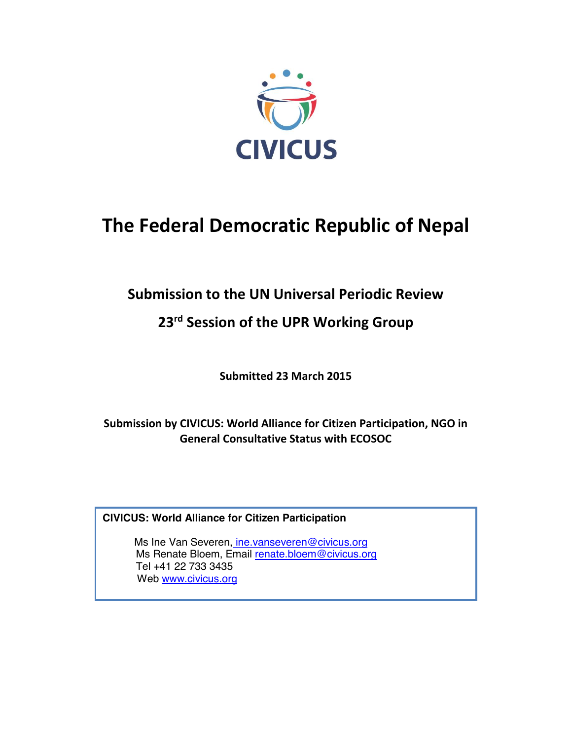

# **The Federal Democratic Republic of Nepal**

# **Submission to the UN Universal Periodic Review**

# **23rd Session of the UPR Working Group**

**Submitted 23 March 2015**

**Submission by CIVICUS: World Alliance for Citizen Participation, NGO in General Consultative Status with ECOSOC** 

**CIVICUS: World Alliance for Citizen Participation**

Ms Ine Van Severen, ine.vanseveren@civicus.org Ms Renate Bloem, Email renate.bloem@civicus.org Tel +41 22 733 3435 Web www.civicus.org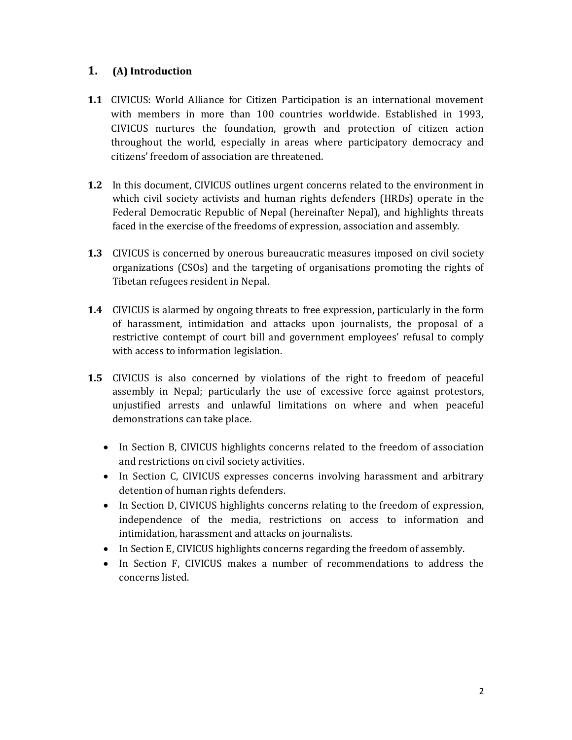### **1. (A) Introduction**

- **1.1** CIVICUS: World Alliance for Citizen Participation is an international movement with members in more than 100 countries worldwide. Established in 1993, CIVICUS nurtures the foundation, growth and protection of citizen action throughout the world, especially in areas where participatory democracy and citizens' freedom of association are threatened.
- **1.2** In this document, CIVICUS outlines urgent concerns related to the environment in which civil society activists and human rights defenders (HRDs) operate in the Federal Democratic Republic of Nepal (hereinafter Nepal), and highlights threats faced in the exercise of the freedoms of expression, association and assembly.
- **1.3** CIVICUS is concerned by onerous bureaucratic measures imposed on civil society organizations (CSOs) and the targeting of organisations promoting the rights of Tibetan refugees resident in Nepal.
- **1.4** CIVICUS is alarmed by ongoing threats to free expression, particularly in the form of harassment, intimidation and attacks upon journalists, the proposal of a restrictive contempt of court bill and government employees' refusal to comply with access to information legislation.
- **1.5** CIVICUS is also concerned by violations of the right to freedom of peaceful assembly in Nepal; particularly the use of excessive force against protestors, unjustified arrests and unlawful limitations on where and when peaceful demonstrations can take place.
	- In Section B, CIVICUS highlights concerns related to the freedom of association and restrictions on civil society activities.
	- In Section C, CIVICUS expresses concerns involving harassment and arbitrary detention of human rights defenders.
	- In Section D, CIVICUS highlights concerns relating to the freedom of expression, independence of the media, restrictions on access to information and intimidation, harassment and attacks on journalists.
	- In Section E, CIVICUS highlights concerns regarding the freedom of assembly.
	- In Section F, CIVICUS makes a number of recommendations to address the concerns listed.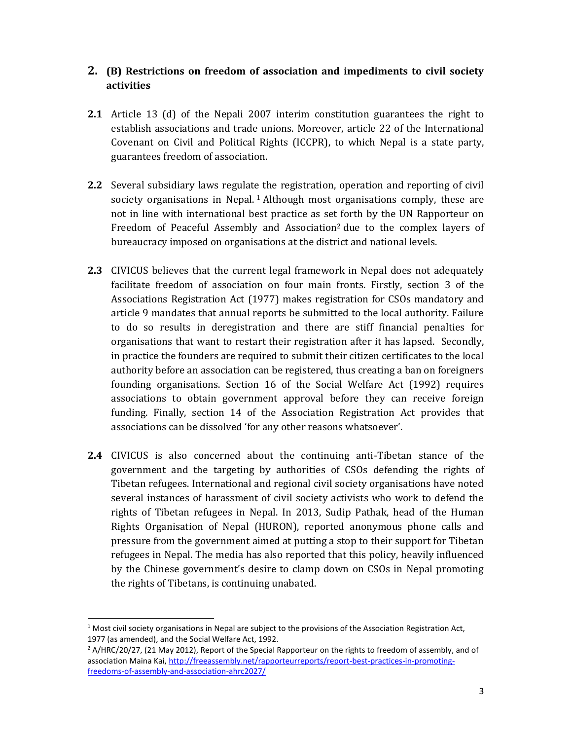#### **2. (B) Restrictions on freedom of association and impediments to civil society activities**

- **2.1** Article 13 (d) of the Nepali 2007 interim constitution guarantees the right to establish associations and trade unions. Moreover, article 22 of the International Covenant on Civil and Political Rights (ICCPR), to which Nepal is a state party, guarantees freedom of association.
- **2.2** Several subsidiary laws regulate the registration, operation and reporting of civil society organisations in Nepal. 1 Although most organisations comply, these are not in line with international best practice as set forth by the UN Rapporteur on Freedom of Peaceful Assembly and Association2 due to the complex layers of bureaucracy imposed on organisations at the district and national levels.
- **2.3** CIVICUS believes that the current legal framework in Nepal does not adequately facilitate freedom of association on four main fronts. Firstly, section 3 of the Associations Registration Act (1977) makes registration for CSOs mandatory and article 9 mandates that annual reports be submitted to the local authority. Failure to do so results in deregistration and there are stiff financial penalties for organisations that want to restart their registration after it has lapsed. Secondly, in practice the founders are required to submit their citizen certificates to the local authority before an association can be registered, thus creating a ban on foreigners founding organisations. Section 16 of the Social Welfare Act (1992) requires associations to obtain government approval before they can receive foreign funding. Finally, section 14 of the Association Registration Act provides that associations can be dissolved 'for any other reasons whatsoever'.
- **2.4** CIVICUS is also concerned about the continuing anti-Tibetan stance of the government and the targeting by authorities of CSOs defending the rights of Tibetan refugees. International and regional civil society organisations have noted several instances of harassment of civil society activists who work to defend the rights of Tibetan refugees in Nepal. In 2013, Sudip Pathak, head of the Human Rights Organisation of Nepal (HURON), reported anonymous phone calls and pressure from the government aimed at putting a stop to their support for Tibetan refugees in Nepal. The media has also reported that this policy, heavily influenced by the Chinese government's desire to clamp down on CSOs in Nepal promoting the rights of Tibetans, is continuing unabated.

 $1$  Most civil society organisations in Nepal are subject to the provisions of the Association Registration Act, 1977 (as amended), and the Social Welfare Act, 1992.

 $2$  A/HRC/20/27, (21 May 2012), Report of the Special Rapporteur on the rights to freedom of assembly, and of association Maina Kai, http://freeassembly.net/rapporteurreports/report-best-practices-in-promotingfreedoms-of-assembly-and-association-ahrc2027/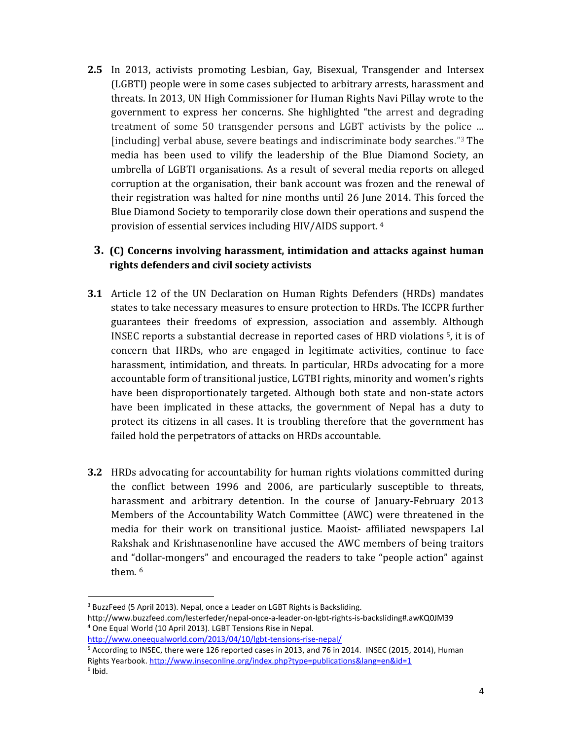**2.5** In 2013, activists promoting Lesbian, Gay, Bisexual, Transgender and Intersex (LGBTI) people were in some cases subjected to arbitrary arrests, harassment and threats. In 2013, UN High Commissioner for Human Rights Navi Pillay wrote to the government to express her concerns. She highlighted "the arrest and degrading treatment of some 50 transgender persons and LGBT activists by the police … [including] verbal abuse, severe beatings and indiscriminate body searches."<sup>3</sup> The media has been used to vilify the leadership of the Blue Diamond Society, an umbrella of LGBTI organisations. As a result of several media reports on alleged corruption at the organisation, their bank account was frozen and the renewal of their registration was halted for nine months until 26 June 2014. This forced the Blue Diamond Society to temporarily close down their operations and suspend the provision of essential services including HIV/AIDS support. 4

# **3. (C) Concerns involving harassment, intimidation and attacks against human rights defenders and civil society activists**

- **3.1** Article 12 of the UN Declaration on Human Rights Defenders (HRDs) mandates states to take necessary measures to ensure protection to HRDs. The ICCPR further guarantees their freedoms of expression, association and assembly. Although INSEC reports a substantial decrease in reported cases of HRD violations 5, it is of concern that HRDs, who are engaged in legitimate activities, continue to face harassment, intimidation, and threats. In particular, HRDs advocating for a more accountable form of transitional justice, LGTBI rights, minority and women's rights have been disproportionately targeted. Although both state and non-state actors have been implicated in these attacks, the government of Nepal has a duty to protect its citizens in all cases. It is troubling therefore that the government has failed hold the perpetrators of attacks on HRDs accountable.
- **3.2** HRDs advocating for accountability for human rights violations committed during the conflict between 1996 and 2006, are particularly susceptible to threats, harassment and arbitrary detention. In the course of January-February 2013 Members of the Accountability Watch Committee (AWC) were threatened in the media for their work on transitional justice. Maoist- affiliated newspapers Lal Rakshak and Krishnasenonline have accused the AWC members of being traitors and "dollar-mongers" and encouraged the readers to take "people action" against them.<sup>6</sup>

<sup>&</sup>lt;sup>3</sup> BuzzFeed (5 April 2013). Nepal, once a Leader on LGBT Rights is Backsliding.

http://www.buzzfeed.com/lesterfeder/nepal-once-a-leader-on-lgbt-rights-is-backsliding#.awKQ0JM39 <sup>4</sup> One Equal World (10 April 2013). LGBT Tensions Rise in Nepal.

http://www.oneequalworld.com/2013/04/10/lgbt-tensions-rise-nepal/

<sup>5</sup> According to INSEC, there were 126 reported cases in 2013, and 76 in 2014. INSEC (2015, 2014), Human Rights Yearbook. http://www.inseconline.org/index.php?type=publications&lang=en&id=1  $6$  Ibid.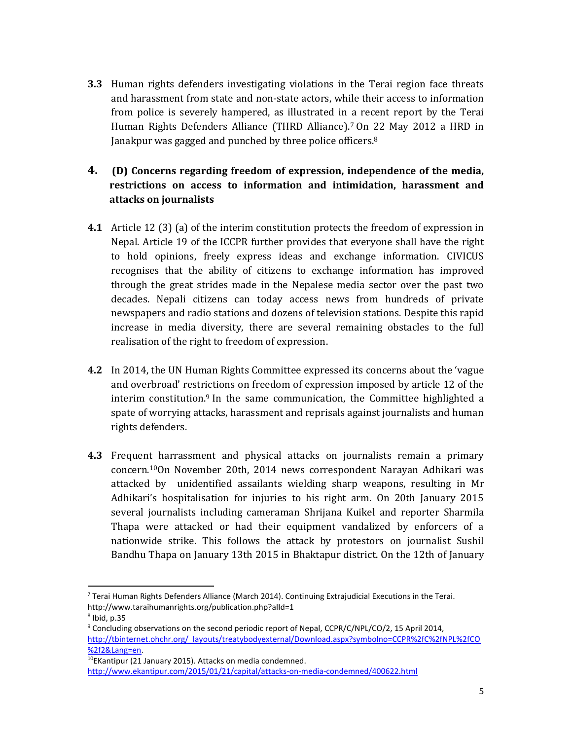**3.3** Human rights defenders investigating violations in the Terai region face threats and harassment from state and non-state actors, while their access to information from police is severely hampered, as illustrated in a recent report by the Terai Human Rights Defenders Alliance (THRD Alliance). <sup>7</sup> On 22 May 2012 a HRD in Janakpur was gagged and punched by three police officers.<sup>8</sup>

# **4. (D) Concerns regarding freedom of expression, independence of the media, restrictions on access to information and intimidation, harassment and attacks on journalists**

- **4.1** Article 12 (3) (a) of the interim constitution protects the freedom of expression in Nepal. Article 19 of the ICCPR further provides that everyone shall have the right to hold opinions, freely express ideas and exchange information. CIVICUS recognises that the ability of citizens to exchange information has improved through the great strides made in the Nepalese media sector over the past two decades. Nepali citizens can today access news from hundreds of private newspapers and radio stations and dozens of television stations. Despite this rapid increase in media diversity, there are several remaining obstacles to the full realisation of the right to freedom of expression.
- **4.2** In 2014, the UN Human Rights Committee expressed its concerns about the 'vague and overbroad' restrictions on freedom of expression imposed by article 12 of the interim constitution.<sup>9</sup> In the same communication, the Committee highlighted a spate of worrying attacks, harassment and reprisals against journalists and human rights defenders.
- **4.3** Frequent harrassment and physical attacks on journalists remain a primary concern.10On November 20th, 2014 news correspondent Narayan Adhikari was attacked by unidentified assailants wielding sharp weapons, resulting in Mr Adhikari's hospitalisation for injuries to his right arm. On 20th January 2015 several journalists including cameraman Shrijana Kuikel and reporter Sharmila Thapa were attacked or had their equipment vandalized by enforcers of a nationwide strike. This follows the attack by protestors on journalist Sushil Bandhu Thapa on January 13th 2015 in Bhaktapur district. On the 12th of January

 <sup>7</sup> Terai Human Rights Defenders Alliance (March 2014). Continuing Extrajudicial Executions in the Terai. http://www.taraihumanrights.org/publication.php?alId=1

<sup>8</sup> Ibid, p.35

<sup>&</sup>lt;sup>9</sup> Concluding observations on the second periodic report of Nepal, CCPR/C/NPL/CO/2, 15 April 2014, http://tbinternet.ohchr.org/\_layouts/treatybodyexternal/Download.aspx?symbolno=CCPR%2fC%2fNPL%2fCO %2f2&Lang=en.<br><sup>10</sup>EKantipur (21 January 2015). Attacks on media condemned.

http://www.ekantipur.com/2015/01/21/capital/attacks-on-media-condemned/400622.html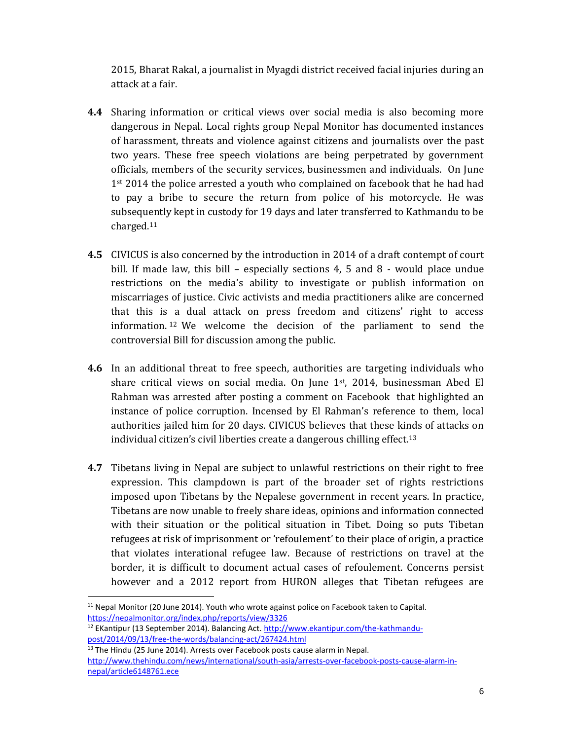2015, Bharat Rakal, a journalist in Myagdi district received facial injuries during an attack at a fair.

- **4.4** Sharing information or critical views over social media is also becoming more dangerous in Nepal. Local rights group Nepal Monitor has documented instances of harassment, threats and violence against citizens and journalists over the past two years. These free speech violations are being perpetrated by government officials, members of the security services, businessmen and individuals. On June 1st 2014 the police arrested a youth who complained on facebook that he had had to pay a bribe to secure the return from police of his motorcycle. He was subsequently kept in custody for 19 days and later transferred to Kathmandu to be charged.11
- **4.5** CIVICUS is also concerned by the introduction in 2014 of a draft contempt of court bill. If made law, this bill – especially sections  $4, 5$  and  $8$  - would place undue restrictions on the media's ability to investigate or publish information on miscarriages of justice. Civic activists and media practitioners alike are concerned that this is a dual attack on press freedom and citizens' right to access information. <sup>12</sup> We welcome the decision of the parliament to send the controversial Bill for discussion among the public.
- **4.6** In an additional threat to free speech, authorities are targeting individuals who share critical views on social media. On June  $1<sup>st</sup>$ , 2014, businessman Abed El Rahman was arrested after posting a comment on Facebook that highlighted an instance of police corruption. Incensed by El Rahman's reference to them, local authorities jailed him for 20 days. CIVICUS believes that these kinds of attacks on individual citizen's civil liberties create a dangerous chilling effect.13
- **4.7** Tibetans living in Nepal are subject to unlawful restrictions on their right to free expression. This clampdown is part of the broader set of rights restrictions imposed upon Tibetans by the Nepalese government in recent years. In practice, Tibetans are now unable to freely share ideas, opinions and information connected with their situation or the political situation in Tibet. Doing so puts Tibetan refugees at risk of imprisonment or 'refoulement' to their place of origin, a practice that violates interational refugee law. Because of restrictions on travel at the border, it is difficult to document actual cases of refoulement. Concerns persist however and a 2012 report from HURON alleges that Tibetan refugees are

 $11$  Nepal Monitor (20 June 2014). Youth who wrote against police on Facebook taken to Capital. https://nepalmonitor.org/index.php/reports/view/3326

<sup>&</sup>lt;sup>12</sup> EKantipur (13 September 2014). Balancing Act. http://www.ekantipur.com/the-kathmandupost/2014/09/13/free-the-words/balancing-act/267424.html

<sup>&</sup>lt;sup>13</sup> The Hindu (25 June 2014). Arrests over Facebook posts cause alarm in Nepal. http://www.thehindu.com/news/international/south-asia/arrests-over-facebook-posts-cause-alarm-innepal/article6148761.ece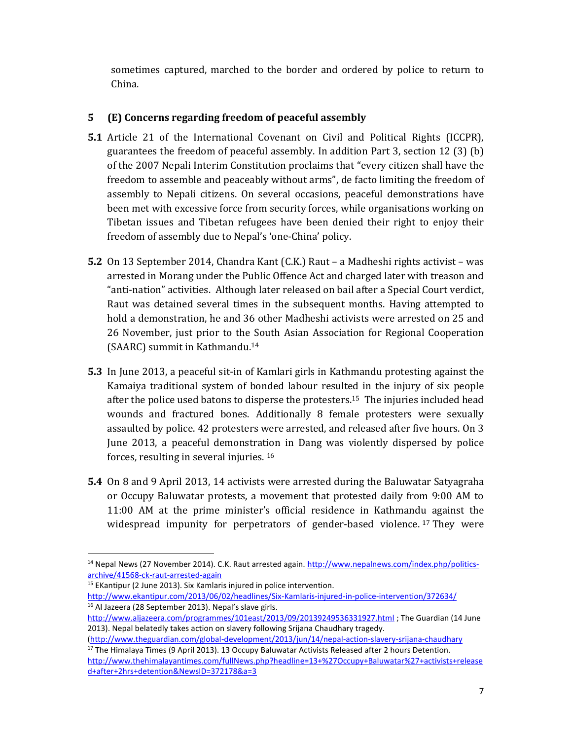sometimes captured, marched to the border and ordered by police to return to China.

### **5 (E) Concerns regarding freedom of peaceful assembly**

- **5.1** Article 21 of the International Covenant on Civil and Political Rights (ICCPR), guarantees the freedom of peaceful assembly. In addition Part 3, section 12 (3) (b) of the 2007 Nepali Interim Constitution proclaims that "every citizen shall have the freedom to assemble and peaceably without arms", de facto limiting the freedom of assembly to Nepali citizens. On several occasions, peaceful demonstrations have been met with excessive force from security forces, while organisations working on Tibetan issues and Tibetan refugees have been denied their right to enjoy their freedom of assembly due to Nepal's 'one-China' policy.
- **5.2** On 13 September 2014, Chandra Kant (C.K.) Raut a Madheshi rights activist was arrested in Morang under the Public Offence Act and charged later with treason and "anti-nation" activities. Although later released on bail after a Special Court verdict, Raut was detained several times in the subsequent months. Having attempted to hold a demonstration, he and 36 other Madheshi activists were arrested on 25 and 26 November, just prior to the South Asian Association for Regional Cooperation (SAARC) summit in Kathmandu. 14
- **5.3** In June 2013, a peaceful sit-in of Kamlari girls in Kathmandu protesting against the Kamaiya traditional system of bonded labour resulted in the injury of six people after the police used batons to disperse the protesters.15 The injuries included head wounds and fractured bones. Additionally 8 female protesters were sexually assaulted by police. 42 protesters were arrested, and released after five hours. On 3 June 2013, a peaceful demonstration in Dang was violently dispersed by police forces, resulting in several injuries. 16
- **5.4** On 8 and 9 April 2013, 14 activists were arrested during the Baluwatar Satyagraha or Occupy Baluwatar protests, a movement that protested daily from 9:00 AM to 11:00 AM at the prime minister's official residence in Kathmandu against the widespread impunity for perpetrators of gender-based violence.<sup>17</sup> They were

<sup>&</sup>lt;sup>14</sup> Nepal News (27 November 2014). C.K. Raut arrested again. http://www.nepalnews.com/index.php/politicsarchive/41568-ck-raut-arrested-again

<sup>&</sup>lt;sup>15</sup> EKantipur (2 June 2013). Six Kamlaris injured in police intervention. http://www.ekantipur.com/2013/06/02/headlines/Six-Kamlaris-injured-in-police-intervention/372634/ <sup>16</sup> Al Jazeera (28 September 2013). Nepal's slave girls.

http://www.aljazeera.com/programmes/101east/2013/09/20139249536331927.html ; The Guardian (14 June 2013). Nepal belatedly takes action on slavery following Srijana Chaudhary tragedy.

<sup>(</sup>http://www.theguardian.com/global-development/2013/jun/14/nepal-action-slavery-srijana-chaudhary  $17$  The Himalaya Times (9 April 2013). 13 Occupy Baluwatar Activists Released after 2 hours Detention. http://www.thehimalayantimes.com/fullNews.php?headline=13+%27Occupy+Baluwatar%27+activists+release

d+after+2hrs+detention&NewsID=372178&a=3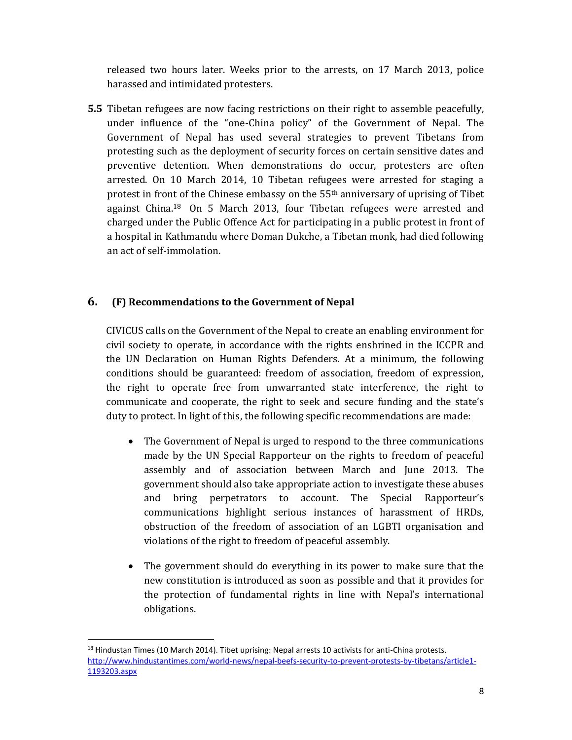released two hours later. Weeks prior to the arrests, on 17 March 2013, police harassed and intimidated protesters.

**5.5** Tibetan refugees are now facing restrictions on their right to assemble peacefully, under influence of the "one-China policy" of the Government of Nepal. The Government of Nepal has used several strategies to prevent Tibetans from protesting such as the deployment of security forces on certain sensitive dates and preventive detention. When demonstrations do occur, protesters are often arrested. On 10 March 2014, 10 Tibetan refugees were arrested for staging a protest in front of the Chinese embassy on the 55th anniversary of uprising of Tibet against China.18 On 5 March 2013, four Tibetan refugees were arrested and charged under the Public Offence Act for participating in a public protest in front of a hospital in Kathmandu where Doman Dukche, a Tibetan monk, had died following an act of self-immolation.

#### **6. (F) Recommendations to the Government of Nepal**

CIVICUS calls on the Government of the Nepal to create an enabling environment for civil society to operate, in accordance with the rights enshrined in the ICCPR and the UN Declaration on Human Rights Defenders. At a minimum, the following conditions should be guaranteed: freedom of association, freedom of expression, the right to operate free from unwarranted state interference, the right to communicate and cooperate, the right to seek and secure funding and the state's duty to protect. In light of this, the following specific recommendations are made:

- The Government of Nepal is urged to respond to the three communications made by the UN Special Rapporteur on the rights to freedom of peaceful assembly and of association between March and June 2013. The government should also take appropriate action to investigate these abuses and bring perpetrators to account. The Special Rapporteur's communications highlight serious instances of harassment of HRDs, obstruction of the freedom of association of an LGBTI organisation and violations of the right to freedom of peaceful assembly.
- The government should do everything in its power to make sure that the new constitution is introduced as soon as possible and that it provides for the protection of fundamental rights in line with Nepal's international obligations.

 $<sup>18</sup>$  Hindustan Times (10 March 2014). Tibet uprising: Nepal arrests 10 activists for anti-China protests.</sup> http://www.hindustantimes.com/world-news/nepal-beefs-security-to-prevent-protests-by-tibetans/article1- 1193203.aspx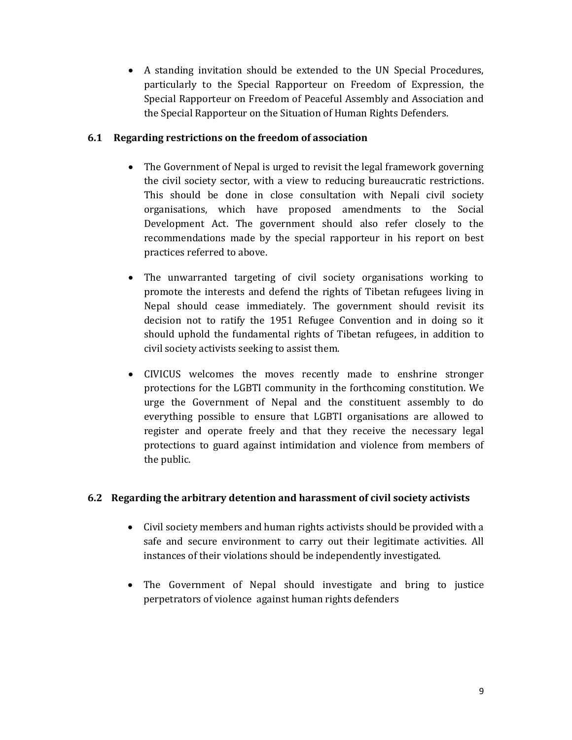• A standing invitation should be extended to the UN Special Procedures, particularly to the Special Rapporteur on Freedom of Expression, the Special Rapporteur on Freedom of Peaceful Assembly and Association and the Special Rapporteur on the Situation of Human Rights Defenders.

#### **6.1 Regarding restrictions on the freedom of association**

- The Government of Nepal is urged to revisit the legal framework governing the civil society sector, with a view to reducing bureaucratic restrictions. This should be done in close consultation with Nepali civil society organisations, which have proposed amendments to the Social Development Act. The government should also refer closely to the recommendations made by the special rapporteur in his report on best practices referred to above.
- The unwarranted targeting of civil society organisations working to promote the interests and defend the rights of Tibetan refugees living in Nepal should cease immediately. The government should revisit its decision not to ratify the 1951 Refugee Convention and in doing so it should uphold the fundamental rights of Tibetan refugees, in addition to civil society activists seeking to assist them.
- CIVICUS welcomes the moves recently made to enshrine stronger protections for the LGBTI community in the forthcoming constitution. We urge the Government of Nepal and the constituent assembly to do everything possible to ensure that LGBTI organisations are allowed to register and operate freely and that they receive the necessary legal protections to guard against intimidation and violence from members of the public.

#### **6.2 Regarding the arbitrary detention and harassment of civil society activists**

- Civil society members and human rights activists should be provided with a safe and secure environment to carry out their legitimate activities. All instances of their violations should be independently investigated.
- The Government of Nepal should investigate and bring to justice perpetrators of violence against human rights defenders